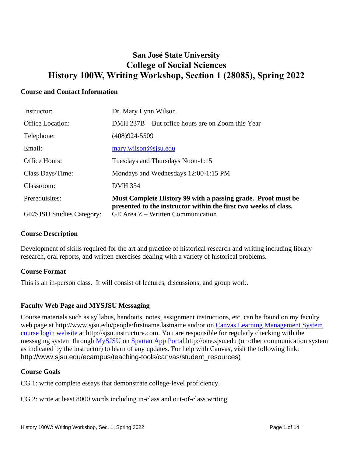# **San José State University College of Social Sciences History 100W, Writing Workshop, Section 1 (28085), Spring 2022**

## **Course and Contact Information**

| Instructor:                      | Dr. Mary Lynn Wilson                                                                                                             |
|----------------------------------|----------------------------------------------------------------------------------------------------------------------------------|
| <b>Office Location:</b>          | DMH 237B—But office hours are on Zoom this Year                                                                                  |
| Telephone:                       | $(408)924 - 5509$                                                                                                                |
| Email:                           | $\text{mary.wilson@sigma.edu}$                                                                                                   |
| <b>Office Hours:</b>             | Tuesdays and Thursdays Noon-1:15                                                                                                 |
| Class Days/Time:                 | Mondays and Wednesdays 12:00-1:15 PM                                                                                             |
| Classroom:                       | <b>DMH 354</b>                                                                                                                   |
| Prerequisites:                   | Must Complete History 99 with a passing grade. Proof must be<br>presented to the instructor within the first two weeks of class. |
| <b>GE/SJSU Studies Category:</b> | GE Area $Z$ – Written Communication                                                                                              |

## **Course Description**

Development of skills required for the art and practice of historical research and writing including library research, oral reports, and written exercises dealing with a variety of historical problems.

## **Course Format**

This is an in-person class. It will consist of lectures, discussions, and group work.

## **Faculty Web Page and MYSJSU Messaging**

Course materials such as syllabus, handouts, notes, assignment instructions, etc. can be found on my faculty web page at http://www.sjsu.edu/people/firstname.lastname and/or on Canvas Learning Management System [course login website](file:///C:/Users/Spain/Desktop/2018/Outreach/Canvas%20Learning%20Management%20System%20course%20login%20website) at http://sjsu.instructure.com. You are responsible for regularly checking with the messaging system through MySJSU on [Spartan App Portal](http://one.sjsu.edu/) http://one.sjsu.edu (or other communication system as indicated by the instructor) to learn of any updates. For help with Canvas, visit the following link: http://www.sjsu.edu/ecampus/teaching-tools/canvas/student\_resources)

## **Course Goals**

CG 1: write complete essays that demonstrate college-level proficiency.

CG 2: write at least 8000 words including in-class and out-of-class writing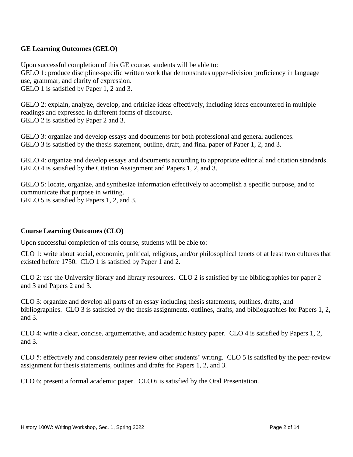## **GE Learning Outcomes (GELO)**

Upon successful completion of this GE course, students will be able to:

GELO 1: produce discipline-specific written work that demonstrates upper-division proficiency in language use, grammar, and clarity of expression.

GELO 1 is satisfied by Paper 1, 2 and 3.

GELO 2: explain, analyze, develop, and criticize ideas effectively, including ideas encountered in multiple readings and expressed in different forms of discourse. GELO 2 is satisfied by Paper 2 and 3.

GELO 3: organize and develop essays and documents for both professional and general audiences. GELO 3 is satisfied by the thesis statement, outline, draft, and final paper of Paper 1, 2, and 3.

GELO 4: organize and develop essays and documents according to appropriate editorial and citation standards. GELO 4 is satisfied by the Citation Assignment and Papers 1, 2, and 3.

GELO 5: locate, organize, and synthesize information effectively to accomplish a specific purpose, and to communicate that purpose in writing. GELO 5 is satisfied by Papers 1, 2, and 3.

## **Course Learning Outcomes (CLO)**

Upon successful completion of this course, students will be able to:

CLO 1: write about social, economic, political, religious, and/or philosophical tenets of at least two cultures that existed before 1750. CLO 1 is satisfied by Paper 1 and 2.

CLO 2: use the University library and library resources. CLO 2 is satisfied by the bibliographies for paper 2 and 3 and Papers 2 and 3.

CLO 3: organize and develop all parts of an essay including thesis statements, outlines, drafts, and bibliographies. CLO 3 is satisfied by the thesis assignments, outlines, drafts, and bibliographies for Papers 1, 2, and 3.

CLO 4: write a clear, concise, argumentative, and academic history paper. CLO 4 is satisfied by Papers 1, 2, and 3.

CLO 5: effectively and considerately peer review other students' writing. CLO 5 is satisfied by the peer-review assignment for thesis statements, outlines and drafts for Papers 1, 2, and 3.

CLO 6: present a formal academic paper. CLO 6 is satisfied by the Oral Presentation.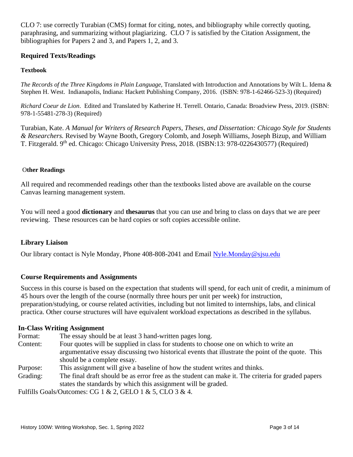CLO 7: use correctly Turabian (CMS) format for citing, notes, and bibliography while correctly quoting, paraphrasing, and summarizing without plagiarizing. CLO 7 is satisfied by the Citation Assignment, the bibliographies for Papers 2 and 3, and Papers 1, 2, and 3.

## **Required Texts/Readings**

## **Textbook**

*The Records of the Three Kingdoms in Plain Language,* Translated with Introduction and Annotations by Wilt L. Idema & Stephen H. West. Indianapolis, Indiana: Hackett Publishing Company, 2016. (ISBN: 978-1-62466-523-3) (Required)

*Richard Coeur de Lion*. Edited and Translated by Katherine H. Terrell. Ontario, Canada: Broadview Press, 2019. (ISBN: 978-1-55481-278-3) (Required)

Turabian, Kate. *A Manual for Writers of Research Papers, Theses, and Dissertation: Chicago Style for Students & Researchers.* Revised by Wayne Booth, Gregory Colomb, and Joseph Williams, Joseph Bizup, and William T. Fitzgerald. 9<sup>th</sup> ed. Chicago: Chicago University Press, 2018. (ISBN:13: 978-0226430577) (Required)

#### O**ther Readings**

All required and recommended readings other than the textbooks listed above are available on the course Canvas learning management system.

You will need a good **dictionary** and **thesaurus** that you can use and bring to class on days that we are peer reviewing. These resources can be hard copies or soft copies accessible online.

## **Library Liaison**

Our library contact is Nyle Monday, Phone 408-808-2041 and Email [Nyle.Monday@sjsu.edu](mailto:Nyle.Monday@sjsu.edu)

## **Course Requirements and Assignments**

Success in this course is based on the expectation that students will spend, for each unit of credit, a minimum of 45 hours over the length of the course (normally three hours per unit per week) for instruction, preparation/studying, or course related activities, including but not limited to internships, labs, and clinical practica. Other course structures will have equivalent workload expectations as described in the syllabus.

#### **In-Class Writing Assignment**

Format: The essay should be at least 3 hand-written pages long. Content: Four quotes will be supplied in class for students to choose one on which to write an argumentative essay discussing two historical events that illustrate the point of the quote. This should be a complete essay.

- Purpose: This assignment will give a baseline of how the student writes and thinks.
- Grading: The final draft should be as error free as the student can make it. The criteria for graded papers states the standards by which this assignment will be graded.

Fulfills Goals/Outcomes: CG 1 & 2, GELO 1 & 5, CLO 3 & 4.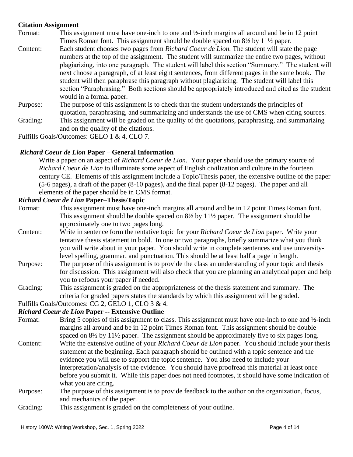## **Citation Assignment**

- Format: This assignment must have one-inch to one and  $\frac{1}{2}$ -inch margins all around and be in 12 point Times Roman font. This assignment should be double spaced on 8½ by 11½ paper.
- Content: Each student chooses two pages from *Richard Coeur de Lion.* The student will state the page numbers at the top of the assignment. The student will summarize the entire two pages, without plagiarizing, into one paragraph. The student will label this section "Summary." The student will next choose a paragraph, of at least eight sentences, from different pages in the same book. The student will then paraphrase this paragraph without plagiarizing. The student will label this section "Paraphrasing." Both sections should be appropriately introduced and cited as the student would in a formal paper.
- Purpose: The purpose of this assignment is to check that the student understands the principles of quotation, paraphrasing, and summarizing and understands the use of CMS when citing sources.
- Grading: This assignment will be graded on the quality of the quotations, paraphrasing, and summarizing and on the quality of the citations.

Fulfills Goals/Outcomes: GELO 1 & 4, CLO 7.

#### *Richard Coeur de Lion* **Paper – General Information**

Write a paper on an aspect of *Richard Coeur de Lion*. Your paper should use the primary source of *Richard Coeur de Lion* to illuminate some aspect of English civilization and culture in the fourteen century CE. Elements of this assignment include a Topic/Thesis paper, the extensive outline of the paper (5-6 pages), a draft of the paper (8-10 pages), and the final paper (8-12 pages). The paper and all elements of the paper should be in CMS format.

#### *Richard Coeur de Lion* **Paper–Thesis/Topic**

- Format: This assignment must have one-inch margins all around and be in 12 point Times Roman font. This assignment should be double spaced on 8½ by 11½ paper. The assignment should be approximately one to two pages long.
- Content: Write in sentence form the tentative topic for your *Richard Coeur de Lion* paper. Write your tentative thesis statement in bold. In one or two paragraphs, briefly summarize what you think you will write about in your paper. You should write in complete sentences and use universitylevel spelling, grammar, and punctuation. This should be at least half a page in length.
- Purpose: The purpose of this assignment is to provide the class an understanding of your topic and thesis for discussion. This assignment will also check that you are planning an analytical paper and help you to refocus your paper if needed.
- Grading: This assignment is graded on the appropriateness of the thesis statement and summary. The criteria for graded papers states the standards by which this assignment will be graded.

#### Fulfills Goals/Outcomes: CG 2, GELO 1, CLO 3 & 4.

#### *Richard Coeur de Lion* **Paper -- Extensive Outline**

- Format: Bring 5 copies of this assignment to class. This assignment must have one-inch to one and ½-inch margins all around and be in 12 point Times Roman font. This assignment should be double spaced on 8½ by 11½ paper. The assignment should be approximately five to six pages long.
- Content: Write the extensive outline of your *Richard Coeur de Lion* paper. You should include your thesis statement at the beginning. Each paragraph should be outlined with a topic sentence and the evidence you will use to support the topic sentence. You also need to include your interpretation/analysis of the evidence. You should have proofread this material at least once before you submit it. While this paper does not need footnotes, it should have some indication of what you are citing.
- Purpose: The purpose of this assignment is to provide feedback to the author on the organization, focus, and mechanics of the paper.
- Grading: This assignment is graded on the completeness of your outline.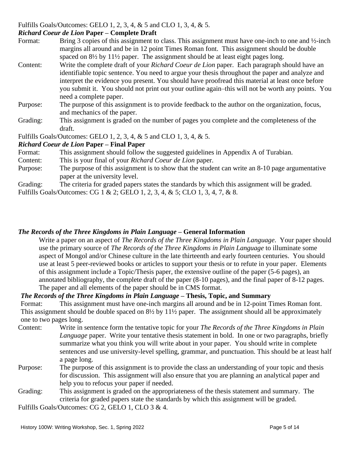## Fulfills Goals/Outcomes: GELO 1, 2, 3, 4, & 5 and CLO 1, 3, 4, & 5.

## *Richard Coeur de Lion* **Paper – Complete Draft**

Format: Bring 3 copies of this assignment to class. This assignment must have one-inch to one and  $\frac{1}{2}$ -inch margins all around and be in 12 point Times Roman font. This assignment should be double spaced on 8½ by 11½ paper. The assignment should be at least eight pages long.

- Content: Write the complete draft of your *Richard Coeur de Lion* paper. Each paragraph should have an identifiable topic sentence. You need to argue your thesis throughout the paper and analyze and interpret the evidence you present. You should have proofread this material at least once before you submit it. You should not print out your outline again–this will not be worth any points. You need a complete paper.
- Purpose: The purpose of this assignment is to provide feedback to the author on the organization, focus, and mechanics of the paper.
- Grading: This assignment is graded on the number of pages you complete and the completeness of the draft.

Fulfills Goals/Outcomes: GELO 1, 2, 3, 4, & 5 and CLO 1, 3, 4, & 5.

## *Richard Coeur de Lion* **Paper – Final Paper**

- Format: This assignment should follow the suggested guidelines in Appendix A of Turabian.
- Content: This is your final of your *Richard Coeur de Lion* paper.
- Purpose: The purpose of this assignment is to show that the student can write an 8-10 page argumentative paper at the university level.

Grading: The criteria for graded papers states the standards by which this assignment will be graded.

Fulfills Goals/Outcomes: CG 1 & 2; GELO 1, 2, 3, 4, & 5; CLO 1, 3, 4, 7, & 8.

## *The Records of the Three Kingdoms in Plain Language* **– General Information**

Write a paper on an aspect of *The Records of the Three Kingdoms in Plain Language*. Your paper should use the primary source of *The Records of the Three Kingdoms in Plain Language* to illuminate some aspect of Mongol and/or Chinese culture in the late thirteenth and early fourteen centuries. You should use at least 5 peer-reviewed books or articles to support your thesis or to refute in your paper. Elements of this assignment include a Topic/Thesis paper, the extensive outline of the paper (5-6 pages), an annotated bibliography, the complete draft of the paper (8-10 pages), and the final paper of 8-12 pages. The paper and all elements of the paper should be in CMS format.

## *The Records of the Three Kingdoms in Plain Language* **– Thesis, Topic, and Summary**

Format: This assignment must have one-inch margins all around and be in 12-point Times Roman font. This assignment should be double spaced on  $8\frac{1}{2}$  by  $11\frac{1}{2}$  paper. The assignment should all be approximately one to two pages long.

- Content: Write in sentence form the tentative topic for your *The Records of the Three Kingdoms in Plain Language* paper. Write your tentative thesis statement in bold. In one or two paragraphs, briefly summarize what you think you will write about in your paper. You should write in complete sentences and use university-level spelling, grammar, and punctuation. This should be at least half a page long.
- Purpose: The purpose of this assignment is to provide the class an understanding of your topic and thesis for discussion. This assignment will also ensure that you are planning an analytical paper and help you to refocus your paper if needed.
- Grading: This assignment is graded on the appropriateness of the thesis statement and summary. The criteria for graded papers state the standards by which this assignment will be graded.

Fulfills Goals/Outcomes: CG 2, GELO 1, CLO 3 & 4.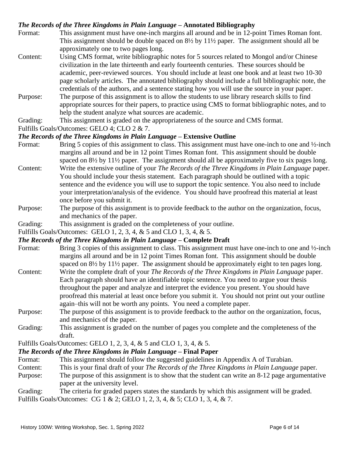## *The Records of the Three Kingdoms in Plain Language* **– Annotated Bibliography**

- Format: This assignment must have one-inch margins all around and be in 12-point Times Roman font. This assignment should be double spaced on  $8\frac{1}{2}$  by  $11\frac{1}{2}$  paper. The assignment should all be approximately one to two pages long.
- Content: Using CMS format, write bibliographic notes for 5 sources related to Mongol and/or Chinese civilization in the late thirteenth and early fourteenth centuries. These sources should be academic, peer-reviewed sources. You should include at least one book and at least two 10-30 page scholarly articles. The annotated bibliography should include a full bibliographic note, the credentials of the authors, and a sentence stating how you will use the source in your paper.
- Purpose: The purpose of this assignment is to allow the students to use library research skills to find appropriate sources for their papers, to practice using CMS to format bibliographic notes, and to help the student analyze what sources are academic.
- Grading: This assignment is graded on the appropriateness of the source and CMS format.

Fulfills Goals/Outcomes: GELO 4; CLO 2 & 7.

## *The Records of the Three Kingdoms in Plain Language* **– Extensive Outline**

- Format: Bring 5 copies of this assignment to class. This assignment must have one-inch to one and  $\frac{1}{2}$ -inch margins all around and be in 12 point Times Roman font. This assignment should be double spaced on  $8\frac{1}{2}$  by  $11\frac{1}{2}$  paper. The assignment should all be approximately five to six pages long.
- Content: Write the extensive outline of your *The Records of the Three Kingdoms in Plain Language* paper. You should include your thesis statement. Each paragraph should be outlined with a topic sentence and the evidence you will use to support the topic sentence. You also need to include your interpretation/analysis of the evidence. You should have proofread this material at least once before you submit it.
- Purpose: The purpose of this assignment is to provide feedback to the author on the organization, focus, and mechanics of the paper.
- Grading: This assignment is graded on the completeness of your outline.

Fulfills Goals/Outcomes: GELO 1, 2, 3, 4, & 5 and CLO 1, 3, 4, & 5.

## *The Records of the Three Kingdoms in Plain Language* **– Complete Draft**

- Format: Bring 3 copies of this assignment to class. This assignment must have one-inch to one and ½-inch margins all around and be in 12 point Times Roman font. This assignment should be double spaced on  $8\frac{1}{2}$  by  $11\frac{1}{2}$  paper. The assignment should be approximately eight to ten pages long.
- Content: Write the complete draft of your *The Records of the Three Kingdoms in Plain Language* paper. Each paragraph should have an identifiable topic sentence. You need to argue your thesis throughout the paper and analyze and interpret the evidence you present. You should have proofread this material at least once before you submit it. You should not print out your outline again–this will not be worth any points. You need a complete paper.
- Purpose: The purpose of this assignment is to provide feedback to the author on the organization, focus, and mechanics of the paper.
- Grading: This assignment is graded on the number of pages you complete and the completeness of the draft.

Fulfills Goals/Outcomes: GELO 1, 2, 3, 4, & 5 and CLO 1, 3, 4, & 5.

## *The Records of the Three Kingdoms in Plain Language* **– Final Paper**

- Format: This assignment should follow the suggested guidelines in Appendix A of Turabian.
- Content: This is your final draft of your *The Records of the Three Kingdoms in Plain Language* paper.
- Purpose: The purpose of this assignment is to show that the student can write an 8-12 page argumentative paper at the university level.

Grading: The criteria for graded papers states the standards by which this assignment will be graded. Fulfills Goals/Outcomes: CG 1 & 2; GELO 1, 2, 3, 4, & 5; CLO 1, 3, 4, & 7.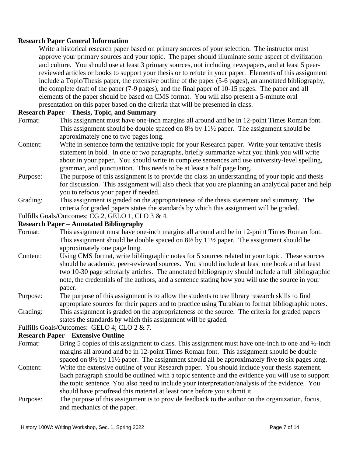## **Research Paper General Information**

Write a historical research paper based on primary sources of your selection. The instructor must approve your primary sources and your topic. The paper should illuminate some aspect of civilization and culture. You should use at least 3 primary sources, not including newspapers, and at least 5 peerreviewed articles or books to support your thesis or to refute in your paper. Elements of this assignment include a Topic/Thesis paper, the extensive outline of the paper (5-6 pages), an annotated bibliography, the complete draft of the paper (7-9 pages), and the final paper of 10-15 pages. The paper and all elements of the paper should be based on CMS format. You will also present a 5-minute oral presentation on this paper based on the criteria that will be presented in class.

## **Research Paper – Thesis, Topic, and Summary**

- Format: This assignment must have one-inch margins all around and be in 12-point Times Roman font. This assignment should be double spaced on 8½ by 11½ paper. The assignment should be approximately one to two pages long.
- Content: Write in sentence form the tentative topic for your Research paper. Write your tentative thesis statement in bold. In one or two paragraphs, briefly summarize what you think you will write about in your paper. You should write in complete sentences and use university-level spelling, grammar, and punctuation. This needs to be at least a half page long.
- Purpose: The purpose of this assignment is to provide the class an understanding of your topic and thesis for discussion. This assignment will also check that you are planning an analytical paper and help you to refocus your paper if needed.
- Grading: This assignment is graded on the appropriateness of the thesis statement and summary. The criteria for graded papers states the standards by which this assignment will be graded.

Fulfills Goals/Outcomes: CG 2, GELO 1, CLO 3 & 4.

#### **Research Paper – Annotated Bibliography**

- Format: This assignment must have one-inch margins all around and be in 12-point Times Roman font. This assignment should be double spaced on 8½ by 11½ paper. The assignment should be approximately one page long.
- Content: Using CMS format, write bibliographic notes for 5 sources related to your topic. These sources should be academic, peer-reviewed sources. You should include at least one book and at least two 10-30 page scholarly articles. The annotated bibliography should include a full bibliographic note, the credentials of the authors, and a sentence stating how you will use the source in your paper.
- Purpose: The purpose of this assignment is to allow the students to use library research skills to find appropriate sources for their papers and to practice using Turabian to format bibliographic notes.
- Grading: This assignment is graded on the appropriateness of the source. The criteria for graded papers states the standards by which this assignment will be graded.

Fulfills Goals/Outcomes: GELO 4; CLO 2 & 7.

## **Research Paper – Extensive Outline**

- Format: Bring 5 copies of this assignment to class. This assignment must have one-inch to one and  $\frac{1}{2}$ -inch margins all around and be in 12-point Times Roman font. This assignment should be double spaced on  $8\frac{1}{2}$  by  $11\frac{1}{2}$  paper. The assignment should all be approximately five to six pages long.
- Content: Write the extensive outline of your Research paper. You should include your thesis statement. Each paragraph should be outlined with a topic sentence and the evidence you will use to support the topic sentence. You also need to include your interpretation/analysis of the evidence. You should have proofread this material at least once before you submit it.
- Purpose: The purpose of this assignment is to provide feedback to the author on the organization, focus, and mechanics of the paper.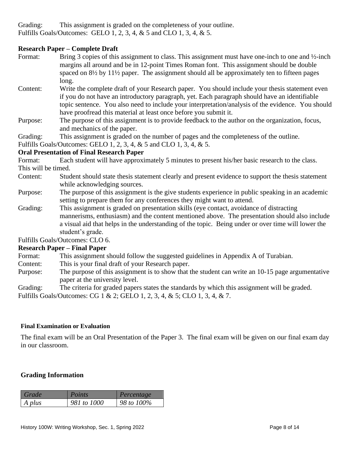Grading: This assignment is graded on the completeness of your outline. Fulfills Goals/Outcomes: GELO 1, 2, 3, 4, & 5 and CLO 1, 3, 4, & 5.

## **Research Paper – Complete Draft**

- Format: Bring 3 copies of this assignment to class. This assignment must have one-inch to one and ½-inch margins all around and be in 12-point Times Roman font. This assignment should be double spaced on 8½ by 11½ paper. The assignment should all be approximately ten to fifteen pages long.
- Content: Write the complete draft of your Research paper. You should include your thesis statement even if you do not have an introductory paragraph, yet. Each paragraph should have an identifiable topic sentence. You also need to include your interpretation/analysis of the evidence. You should have proofread this material at least once before you submit it.
- Purpose: The purpose of this assignment is to provide feedback to the author on the organization, focus, and mechanics of the paper.

Grading: This assignment is graded on the number of pages and the completeness of the outline.

Fulfills Goals/Outcomes: GELO 1, 2, 3, 4, & 5 and CLO 1, 3, 4, & 5.

## **Oral Presentation of Final Research Paper**

Format: Each student will have approximately 5 minutes to present his/her basic research to the class. This will be timed.

- Content: Student should state thesis statement clearly and present evidence to support the thesis statement while acknowledging sources.
- Purpose: The purpose of this assignment is the give students experience in public speaking in an academic setting to prepare them for any conferences they might want to attend.
- Grading: This assignment is graded on presentation skills (eye contact, avoidance of distracting mannerisms, enthusiasm) and the content mentioned above. The presentation should also include a visual aid that helps in the understanding of the topic. Being under or over time will lower the student's grade.

Fulfills Goals/Outcomes: CLO 6.

## **Research Paper – Final Paper**

- Format: This assignment should follow the suggested guidelines in Appendix A of Turabian.
- Content: This is your final draft of your Research paper.
- Purpose: The purpose of this assignment is to show that the student can write an 10-15 page argumentative paper at the university level.
- Grading: The criteria for graded papers states the standards by which this assignment will be graded.

Fulfills Goals/Outcomes: CG 1 & 2; GELO 1, 2, 3, 4, & 5; CLO 1, 3, 4, & 7.

#### **Final Examination or Evaluation**

The final exam will be an Oral Presentation of the Paper 3. The final exam will be given on our final exam day in our classroom.

## **Grading Information**

| Grade  | <i>Points</i> | Percentage |
|--------|---------------|------------|
| A plus | 981 to 1000   | 98 to 100% |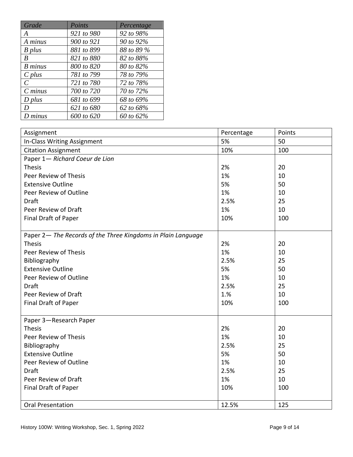| Grade          | Points     | Percentage |
|----------------|------------|------------|
| A              | 921 to 980 | 92 to 98%  |
| A minus        | 900 to 921 | 90 to 92%  |
| $B$ plus       | 881 to 899 | 88 to 89 % |
| B              | 821 to 880 | 82 to 88%  |
| <b>B</b> minus | 800 to 820 | 80 to 82%  |
| $C$ plus       | 781 to 799 | 78 to 79%  |
| $\mathcal{C}$  | 721 to 780 | 72 to 78%  |
| $C$ minus      | 700 to 720 | 70 to 72%  |
| $D$ plus       | 681 to 699 | 68 to 69%  |
| D              | 621 to 680 | 62 to 68%  |
| D minus        | 600 to 620 | 60 to 62%  |

| Assignment                                                   | Percentage | Points |
|--------------------------------------------------------------|------------|--------|
| In-Class Writing Assignment                                  | 5%         | 50     |
| <b>Citation Assignment</b>                                   | 10%        | 100    |
| Paper 1- Richard Coeur de Lion                               |            |        |
| <b>Thesis</b>                                                | 2%         | 20     |
| Peer Review of Thesis                                        | 1%         | 10     |
| <b>Extensive Outline</b>                                     | 5%         | 50     |
| Peer Review of Outline                                       | 1%         | 10     |
| <b>Draft</b>                                                 | 2.5%       | 25     |
| Peer Review of Draft                                         | 1%         | 10     |
| Final Draft of Paper                                         | 10%        | 100    |
|                                                              |            |        |
| Paper 2- The Records of the Three Kingdoms in Plain Language |            |        |
| <b>Thesis</b>                                                | 2%         | 20     |
| Peer Review of Thesis                                        | 1%         | 10     |
| Bibliography                                                 | 2.5%       | 25     |
| <b>Extensive Outline</b>                                     | 5%         | 50     |
| Peer Review of Outline                                       | 1%         | 10     |
| Draft                                                        | 2.5%       | 25     |
| Peer Review of Draft                                         | 1.%        | 10     |
| Final Draft of Paper                                         | 10%        | 100    |
|                                                              |            |        |
| Paper 3-Research Paper                                       |            |        |
| <b>Thesis</b>                                                | 2%         | 20     |
| Peer Review of Thesis                                        | 1%         | 10     |
| Bibliography                                                 | 2.5%       | 25     |
| <b>Extensive Outline</b>                                     | 5%         | 50     |
| Peer Review of Outline                                       | 1%         | 10     |
| <b>Draft</b>                                                 | 2.5%       | 25     |
| Peer Review of Draft                                         | 1%         | 10     |
| Final Draft of Paper                                         | 10%        | 100    |
|                                                              |            |        |
| <b>Oral Presentation</b>                                     | 12.5%      | 125    |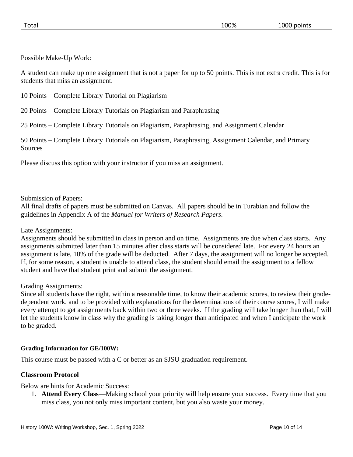| $\overline{\phantom{0}}$<br>100%<br>----<br>'otai<br>1 JI JI<br>points<br>$  -$ |
|---------------------------------------------------------------------------------|
|---------------------------------------------------------------------------------|

Possible Make-Up Work:

A student can make up one assignment that is not a paper for up to 50 points. This is not extra credit. This is for students that miss an assignment.

10 Points – Complete Library Tutorial on Plagiarism

20 Points – Complete Library Tutorials on Plagiarism and Paraphrasing

25 Points – Complete Library Tutorials on Plagiarism, Paraphrasing, and Assignment Calendar

50 Points – Complete Library Tutorials on Plagiarism, Paraphrasing, Assignment Calendar, and Primary **Sources** 

Please discuss this option with your instructor if you miss an assignment.

Submission of Papers:

All final drafts of papers must be submitted on Canvas. All papers should be in Turabian and follow the guidelines in Appendix A of the *Manual for Writers of Research Papers*.

#### Late Assignments:

Assignments should be submitted in class in person and on time. Assignments are due when class starts. Any assignments submitted later than 15 minutes after class starts will be considered late. For every 24 hours an assignment is late, 10% of the grade will be deducted. After 7 days, the assignment will no longer be accepted. If, for some reason, a student is unable to attend class, the student should email the assignment to a fellow student and have that student print and submit the assignment.

#### Grading Assignments:

Since all students have the right, within a reasonable time, to know their academic scores, to review their gradedependent work, and to be provided with explanations for the determinations of their course scores, I will make every attempt to get assignments back within two or three weeks. If the grading will take longer than that, I will let the students know in class why the grading is taking longer than anticipated and when I anticipate the work to be graded.

#### **Grading Information for GE/100W:**

This course must be passed with a C or better as an SJSU graduation requirement.

## **Classroom Protocol**

Below are hints for Academic Success:

1. **Attend Every Class**—Making school your priority will help ensure your success. Every time that you miss class, you not only miss important content, but you also waste your money.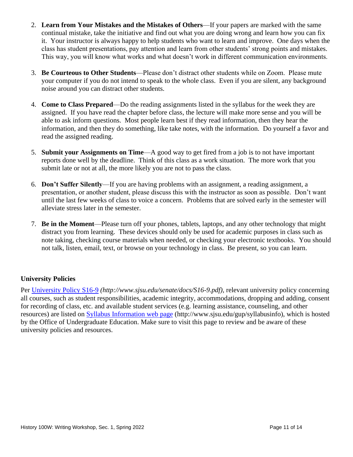- 2. **Learn from Your Mistakes and the Mistakes of Others**—If your papers are marked with the same continual mistake, take the initiative and find out what you are doing wrong and learn how you can fix it. Your instructor is always happy to help students who want to learn and improve. One days when the class has student presentations, pay attention and learn from other students' strong points and mistakes. This way, you will know what works and what doesn't work in different communication environments.
- 3. **Be Courteous to Other Students**—Please don't distract other students while on Zoom. Please mute your computer if you do not intend to speak to the whole class. Even if you are silent, any background noise around you can distract other students.
- 4. **Come to Class Prepared**—Do the reading assignments listed in the syllabus for the week they are assigned. If you have read the chapter before class, the lecture will make more sense and you will be able to ask inform questions. Most people learn best if they read information, then they hear the information, and then they do something, like take notes, with the information. Do yourself a favor and read the assigned reading.
- 5. **Submit your Assignments on Time**—A good way to get fired from a job is to not have important reports done well by the deadline. Think of this class as a work situation. The more work that you submit late or not at all, the more likely you are not to pass the class.
- 6. **Don't Suffer Silently**—If you are having problems with an assignment, a reading assignment, a presentation, or another student, please discuss this with the instructor as soon as possible. Don't want until the last few weeks of class to voice a concern. Problems that are solved early in the semester will alleviate stress later in the semester.
- 7. **Be in the Moment**—Please turn off your phones, tablets, laptops, and any other technology that might distract you from learning. These devices should only be used for academic purposes in class such as note taking, checking course materials when needed, or checking your electronic textbooks. You should not talk, listen, email, text, or browse on your technology in class. Be present, so you can learn.

## **University Policies**

Per [University Policy S16-9](http://www.sjsu.edu/senate/docs/S16-9.pdf) *(http://www.sjsu.edu/senate/docs/S16-9.pdf)*, relevant university policy concerning all courses, such as student responsibilities, academic integrity, accommodations, dropping and adding, consent for recording of class, etc. and available student services (e.g. learning assistance, counseling, and other resources) are listed on [Syllabus Information](http://www.sjsu.edu/gup/syllabusinfo/) web page (http://www.sjsu.edu/gup/syllabusinfo), which is hosted by the Office of Undergraduate Education. Make sure to visit this page to review and be aware of these university policies and resources.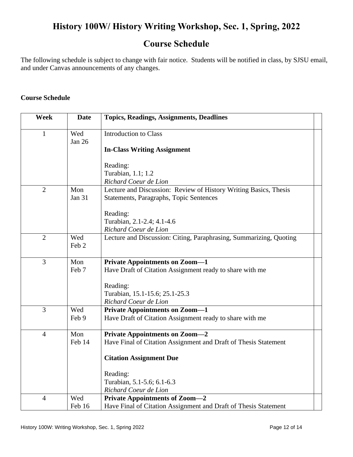# **History 100W/ History Writing Workshop, Sec. 1, Spring, 2022**

## **Course Schedule**

The following schedule is subject to change with fair notice. Students will be notified in class, by SJSU email, and under Canvas announcements of any changes.

## **Course Schedule**

| <b>Week</b>    | <b>Date</b>      | <b>Topics, Readings, Assignments, Deadlines</b>                    |
|----------------|------------------|--------------------------------------------------------------------|
| 1              | Wed<br>Jan 26    | <b>Introduction to Class</b>                                       |
|                |                  | <b>In-Class Writing Assignment</b>                                 |
|                |                  | Reading:                                                           |
|                |                  | Turabian, 1.1; 1.2                                                 |
|                |                  | Richard Coeur de Lion                                              |
| $\overline{2}$ | Mon              | Lecture and Discussion: Review of History Writing Basics, Thesis   |
|                | <b>Jan 31</b>    | Statements, Paragraphs, Topic Sentences                            |
|                |                  | Reading:                                                           |
|                |                  | Turabian, 2.1-2.4; 4.1-4.6                                         |
|                |                  | Richard Coeur de Lion                                              |
| $\overline{2}$ | Wed              | Lecture and Discussion: Citing, Paraphrasing, Summarizing, Quoting |
|                | Feb <sub>2</sub> |                                                                    |
| $\overline{3}$ | Mon              | <b>Private Appointments on Zoom-1</b>                              |
|                | Feb 7            | Have Draft of Citation Assignment ready to share with me           |
|                |                  | Reading:                                                           |
|                |                  | Turabian, 15.1-15.6; 25.1-25.3                                     |
|                |                  | Richard Coeur de Lion                                              |
| 3              | Wed              | <b>Private Appointments on Zoom-1</b>                              |
|                | Feb 9            | Have Draft of Citation Assignment ready to share with me           |
| $\overline{4}$ | Mon              | <b>Private Appointments on Zoom-2</b>                              |
|                | Feb 14           | Have Final of Citation Assignment and Draft of Thesis Statement    |
|                |                  | <b>Citation Assignment Due</b>                                     |
|                |                  | Reading:                                                           |
|                |                  | Turabian, 5.1-5.6; 6.1-6.3                                         |
|                |                  | Richard Coeur de Lion                                              |
| $\overline{4}$ | Wed              | <b>Private Appointments of Zoom-2</b>                              |
|                | Feb 16           | Have Final of Citation Assignment and Draft of Thesis Statement    |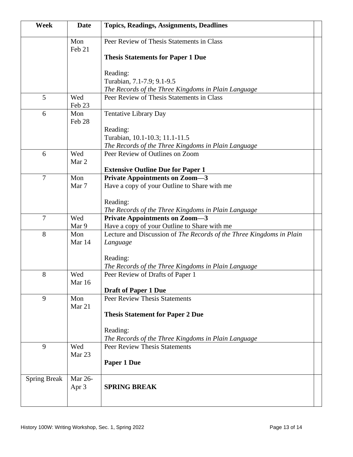| <b>Week</b>         | <b>Date</b>   | <b>Topics, Readings, Assignments, Deadlines</b>                      |
|---------------------|---------------|----------------------------------------------------------------------|
|                     | Mon<br>Feb 21 | Peer Review of Thesis Statements in Class                            |
|                     |               | <b>Thesis Statements for Paper 1 Due</b>                             |
|                     |               | Reading:                                                             |
|                     |               | Turabian, 7.1-7.9; 9.1-9.5                                           |
|                     |               | The Records of the Three Kingdoms in Plain Language                  |
| 5                   | Wed<br>Feb 23 | Peer Review of Thesis Statements in Class                            |
| 6                   | Mon<br>Feb 28 | <b>Tentative Library Day</b>                                         |
|                     |               | Reading:                                                             |
|                     |               | Turabian, 10.1-10.3; 11.1-11.5                                       |
|                     |               | The Records of the Three Kingdoms in Plain Language                  |
| 6                   | Wed<br>Mar 2  | Peer Review of Outlines on Zoom                                      |
|                     |               | <b>Extensive Outline Due for Paper 1</b>                             |
| $\overline{7}$      | Mon           | <b>Private Appointments on Zoom-3</b>                                |
|                     | Mar 7         | Have a copy of your Outline to Share with me                         |
|                     |               | Reading:                                                             |
|                     |               | The Records of the Three Kingdoms in Plain Language                  |
| $\overline{7}$      | Wed           | <b>Private Appointments on Zoom-3</b>                                |
|                     | Mar 9         | Have a copy of your Outline to Share with me                         |
| 8                   | Mon           | Lecture and Discussion of The Records of the Three Kingdoms in Plain |
|                     | Mar 14        | Language                                                             |
|                     |               | Reading:                                                             |
|                     |               | The Records of the Three Kingdoms in Plain Language                  |
| 8                   | Wed           | Peer Review of Drafts of Paper 1                                     |
|                     | Mar 16        |                                                                      |
|                     |               | <b>Draft of Paper 1 Due</b>                                          |
| 9                   | Mon<br>Mar 21 | <b>Peer Review Thesis Statements</b>                                 |
|                     |               | <b>Thesis Statement for Paper 2 Due</b>                              |
|                     |               | Reading:                                                             |
|                     |               | The Records of the Three Kingdoms in Plain Language                  |
| 9                   | Wed<br>Mar 23 | <b>Peer Review Thesis Statements</b>                                 |
|                     |               | Paper 1 Due                                                          |
| <b>Spring Break</b> | Mar 26-       |                                                                      |
|                     | Apr 3         | <b>SPRING BREAK</b>                                                  |
|                     |               |                                                                      |
|                     |               |                                                                      |